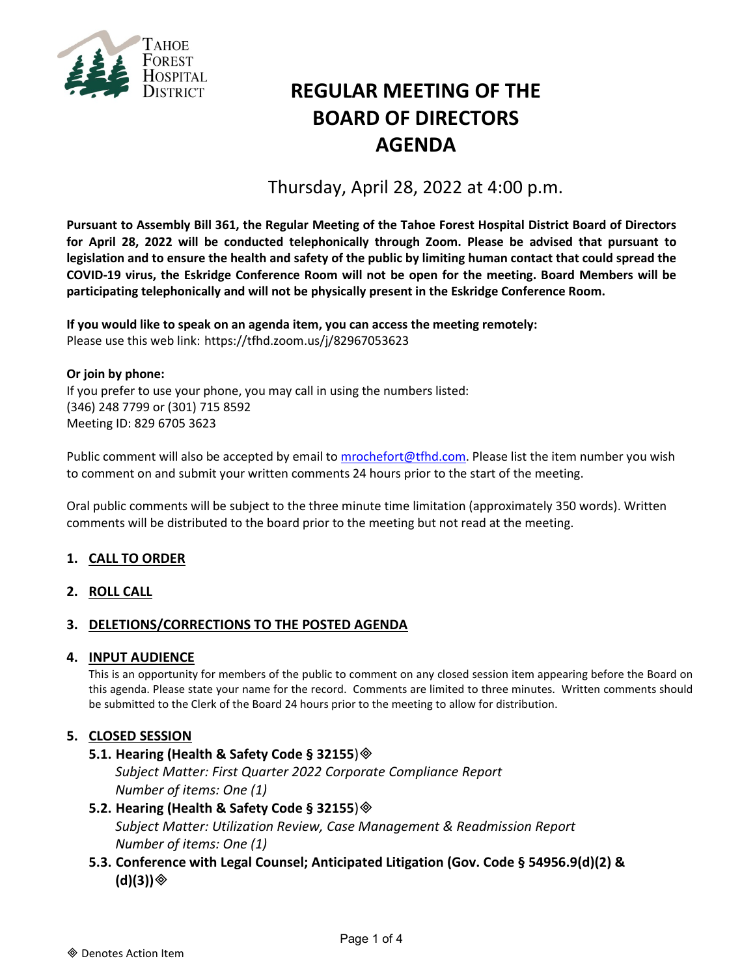

# **REGULAR MEETING OF THE BOARD OF DIRECTORS AGENDA**

Thursday, April 28, 2022 at 4:00 p.m.

**Pursuant to Assembly Bill 361, the Regular Meeting of the Tahoe Forest Hospital District Board of Directors for April 28, 2022 will be conducted telephonically through Zoom. Please be advised that pursuant to legislation and to ensure the health and safety of the public by limiting human contact that could spread the COVID-19 virus, the Eskridge Conference Room will not be open for the meeting. Board Members will be participating telephonically and will not be physically present in the Eskridge Conference Room.**

**If you would like to speak on an agenda item, you can access the meeting remotely:** Please use this web link: <https://tfhd.zoom.us/j/82967053623>

**Or join by phone:**  If you prefer to use your phone, you may call in using the numbers listed: (346) 248 7799 or (301) 715 8592 Meeting ID: 829 6705 3623

Public comment will also be accepted by email to [mrochefort@tfhd.com.](mailto:mrochefort@tfhd.com) Please list the item number you wish to comment on and submit your written comments 24 hours prior to the start of the meeting.

Oral public comments will be subject to the three minute time limitation (approximately 350 words). Written comments will be distributed to the board prior to the meeting but not read at the meeting.

# **1. CALL TO ORDER**

**2. ROLL CALL**

## **3. DELETIONS/CORRECTIONS TO THE POSTED AGENDA**

#### **4. INPUT AUDIENCE**

This is an opportunity for members of the public to comment on any closed session item appearing before the Board on this agenda. Please state your name for the record. Comments are limited to three minutes. Written comments should be submitted to the Clerk of the Board 24 hours prior to the meeting to allow for distribution.

## **5. CLOSED SESSION**

#### **5.1. Hearing (Health & Safety Code § 32155**)

*Subject Matter: First Quarter 2022 Corporate Compliance Report Number of items: One (1)*

## **5.2. Hearing (Health & Safety Code § 32155**) *Subject Matter: Utilization Review, Case Management & Readmission Report Number of items: One (1)*

**5.3. Conference with Legal Counsel; Anticipated Litigation (Gov. Code § 54956.9(d)(2) & (d)(3))**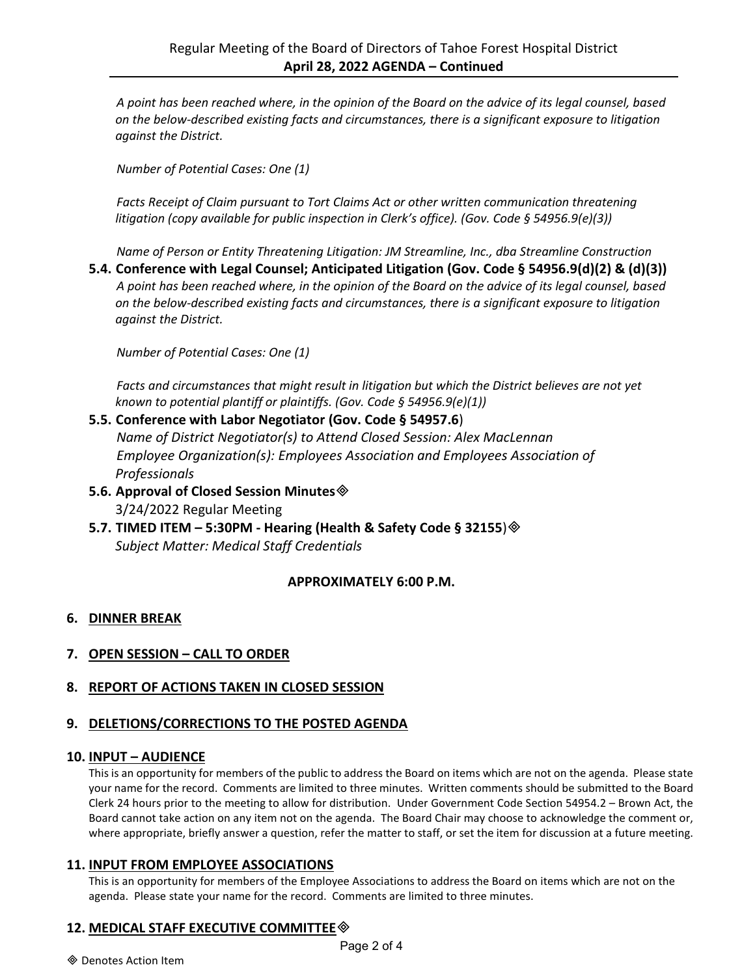*A point has been reached where, in the opinion of the Board on the advice of its legal counsel, based on the below-described existing facts and circumstances, there is a significant exposure to litigation against the District.*

*Number of Potential Cases: One (1)*

*Facts Receipt of Claim pursuant to Tort Claims Act or other written communication threatening litigation (copy available for public inspection in Clerk's office). (Gov. Code § 54956.9(e)(3))*

*Name of Person or Entity Threatening Litigation: JM Streamline, Inc., dba Streamline Construction*

**5.4. Conference with Legal Counsel; Anticipated Litigation (Gov. Code § 54956.9(d)(2) & (d)(3))** *A point has been reached where, in the opinion of the Board on the advice of its legal counsel, based on the below-described existing facts and circumstances, there is a significant exposure to litigation against the District.*

*Number of Potential Cases: One (1)*

*Facts and circumstances that might result in litigation but which the District believes are not yet known to potential plantiff or plaintiffs. (Gov. Code § 54956.9(e)(1))*

- **5.5. Conference with Labor Negotiator (Gov. Code § 54957.6**) *Name of District Negotiator(s) to Attend Closed Session: Alex MacLennan Employee Organization(s): Employees Association and Employees Association of Professionals*
- **5.6. Approval of Closed Session Minutes** 3/24/2022 Regular Meeting
- **5.7. TIMED ITEM – 5:30PM - Hearing (Health & Safety Code § 32155**) *Subject Matter: Medical Staff Credentials*

## **APPROXIMATELY 6:00 P.M.**

## **6. DINNER BREAK**

- **7. OPEN SESSION – CALL TO ORDER**
- **8. REPORT OF ACTIONS TAKEN IN CLOSED SESSION**

## **9. DELETIONS/CORRECTIONS TO THE POSTED AGENDA**

## **10. INPUT – AUDIENCE**

This is an opportunity for members of the public to address the Board on items which are not on the agenda. Please state your name for the record. Comments are limited to three minutes. Written comments should be submitted to the Board Clerk 24 hours prior to the meeting to allow for distribution. Under Government Code Section 54954.2 – Brown Act, the Board cannot take action on any item not on the agenda. The Board Chair may choose to acknowledge the comment or, where appropriate, briefly answer a question, refer the matter to staff, or set the item for discussion at a future meeting.

#### **11. INPUT FROM EMPLOYEE ASSOCIATIONS**

This is an opportunity for members of the Employee Associations to address the Board on items which are not on the agenda. Please state your name for the record. Comments are limited to three minutes.

# **12. MEDICAL STAFF EXECUTIVE COMMITTEE**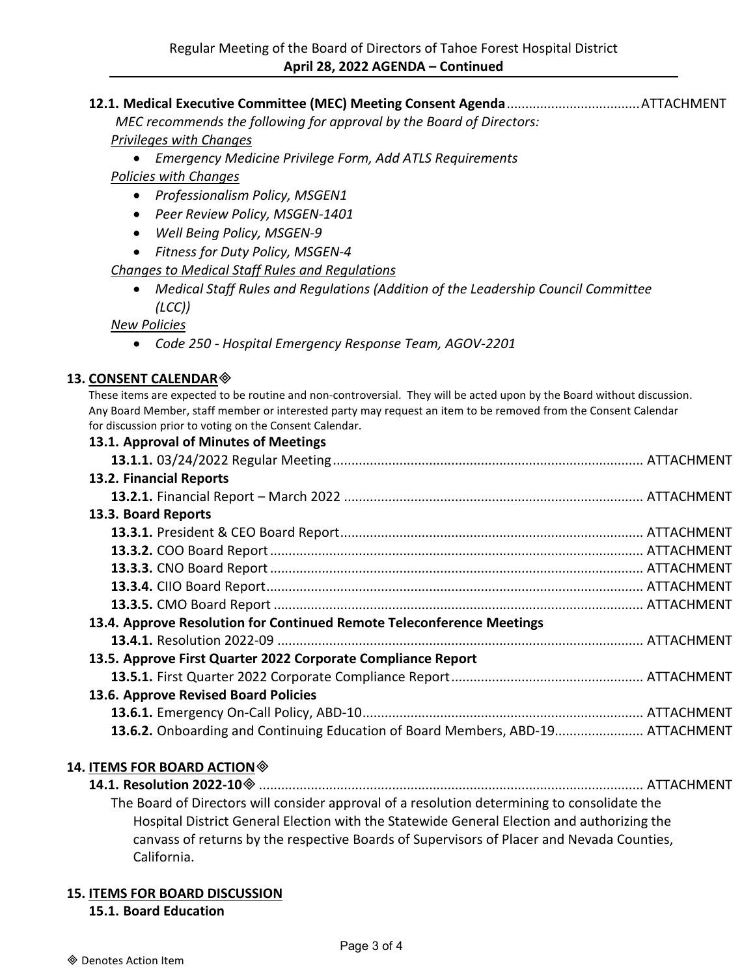**12.1. Medical Executive Committee (MEC) Meeting Consent Agenda**....................................ATTACHMENT

*MEC recommends the following for approval by the Board of Directors: Privileges with Changes*

• *Emergency Medicine Privilege Form, Add ATLS Requirements*

*Policies with Changes*

- *Professionalism Policy, MSGEN1*
- *Peer Review Policy, MSGEN-1401*
- *Well Being Policy, MSGEN-9*
- *Fitness for Duty Policy, MSGEN-4*

*Changes to Medical Staff Rules and Regulations*

• *Medical Staff Rules and Regulations (Addition of the Leadership Council Committee (LCC))*

# *New Policies*

• *Code 250 - Hospital Emergency Response Team, AGOV-2201*

# **13. CONSENT CALENDAR**

These items are expected to be routine and non-controversial. They will be acted upon by the Board without discussion. Any Board Member, staff member or interested party may request an item to be removed from the Consent Calendar for discussion prior to voting on the Consent Calendar.

| 13.1. Approval of Minutes of Meetings                                           |
|---------------------------------------------------------------------------------|
|                                                                                 |
| 13.2. Financial Reports                                                         |
|                                                                                 |
| 13.3. Board Reports                                                             |
|                                                                                 |
|                                                                                 |
|                                                                                 |
|                                                                                 |
|                                                                                 |
| 13.4. Approve Resolution for Continued Remote Teleconference Meetings           |
|                                                                                 |
| 13.5. Approve First Quarter 2022 Corporate Compliance Report                    |
|                                                                                 |
| 13.6. Approve Revised Board Policies                                            |
|                                                                                 |
| 13.6.2. Onboarding and Continuing Education of Board Members, ABD-19 ATTACHMENT |

# **14. ITEMS FOR BOARD ACTION**

**14.1. Resolution 2022-10**........................................................................................................ ATTACHMENT The Board of Directors will consider approval of a resolution determining to consolidate the Hospital District General Election with the Statewide General Election and authorizing the canvass of returns by the respective Boards of Supervisors of Placer and Nevada Counties, California.

# **15. ITEMS FOR BOARD DISCUSSION**

**15.1. Board Education**